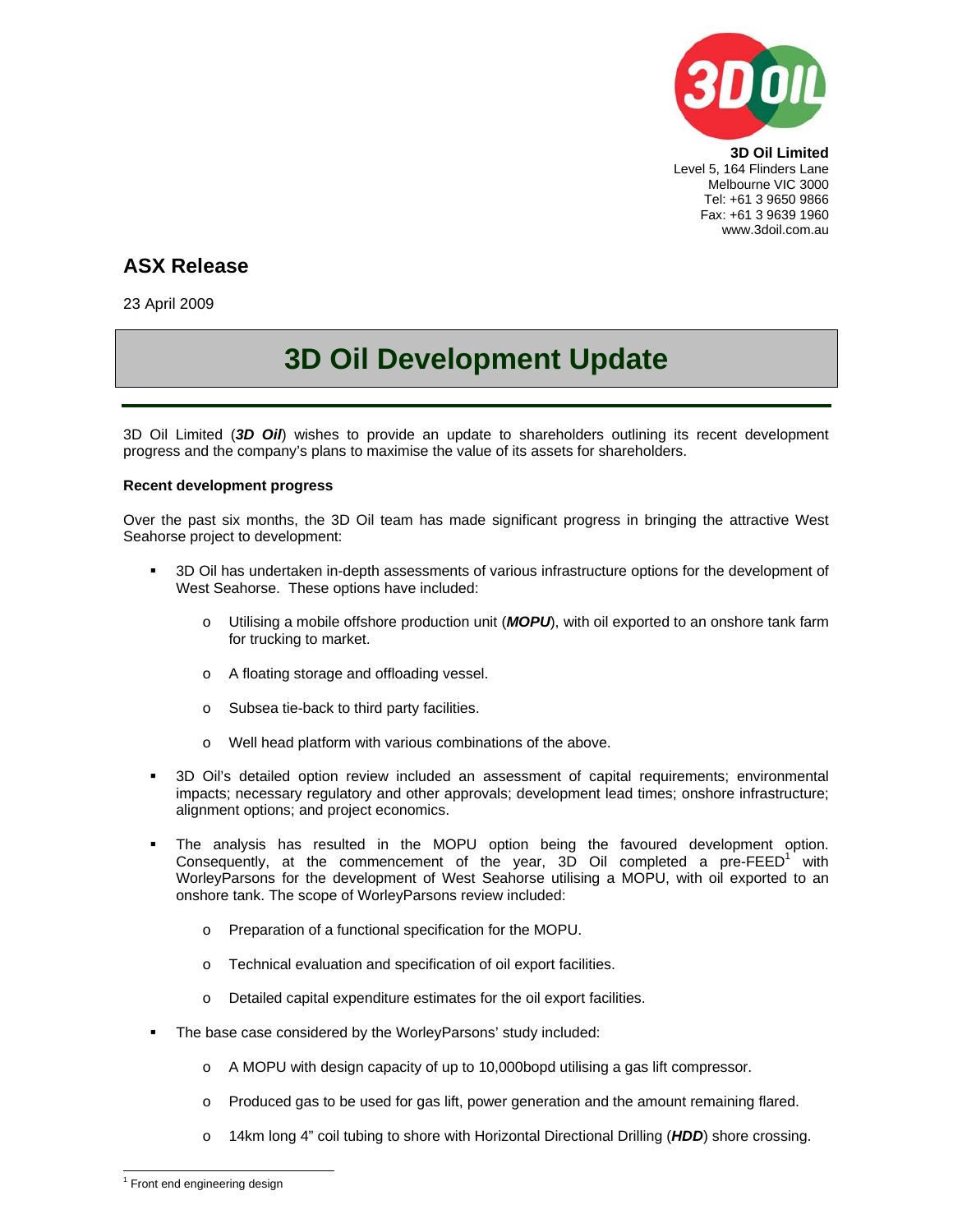

**3D Oil Limited**  Level 5, 164 Flinders Lane Melbourne VIC 3000 Tel: +61 3 9650 9866 Fax: +61 3 9639 1960 www.3doil.com.au

# **ASX Release**

23 April 2009

# **3D Oil Development Update**

3D Oil Limited (*3D Oil*) wishes to provide an update to shareholders outlining its recent development progress and the company's plans to maximise the value of its assets for shareholders.

## **Recent development progress**

Over the past six months, the 3D Oil team has made significant progress in bringing the attractive West Seahorse project to development:

- 3D Oil has undertaken in-depth assessments of various infrastructure options for the development of West Seahorse. These options have included:
	- o Utilising a mobile offshore production unit (*MOPU*), with oil exported to an onshore tank farm for trucking to market.
	- o A floating storage and offloading vessel.
	- o Subsea tie-back to third party facilities.
	- o Well head platform with various combinations of the above.
- 3D Oil's detailed option review included an assessment of capital requirements; environmental impacts; necessary regulatory and other approvals; development lead times; onshore infrastructure; alignment options; and project economics.
- The analysis has resulted in the MOPU option being the favoured development option. Consequently, at the commencement of the year,  $3\overline{D}$  Oil completed a pre-FEED<sup>1</sup> with WorleyParsons for the development of West Seahorse utilising a MOPU, with oil exported to an onshore tank. The scope of WorleyParsons review included:
	- o Preparation of a functional specification for the MOPU.
	- o Technical evaluation and specification of oil export facilities.
	- o Detailed capital expenditure estimates for the oil export facilities.
- The base case considered by the WorleyParsons' study included:
	- o A MOPU with design capacity of up to 10,000bopd utilising a gas lift compressor.
	- o Produced gas to be used for gas lift, power generation and the amount remaining flared.
	- o 14km long 4" coil tubing to shore with Horizontal Directional Drilling (*HDD*) shore crossing.

 $\overline{a}$ <sup>1</sup> Front end engineering design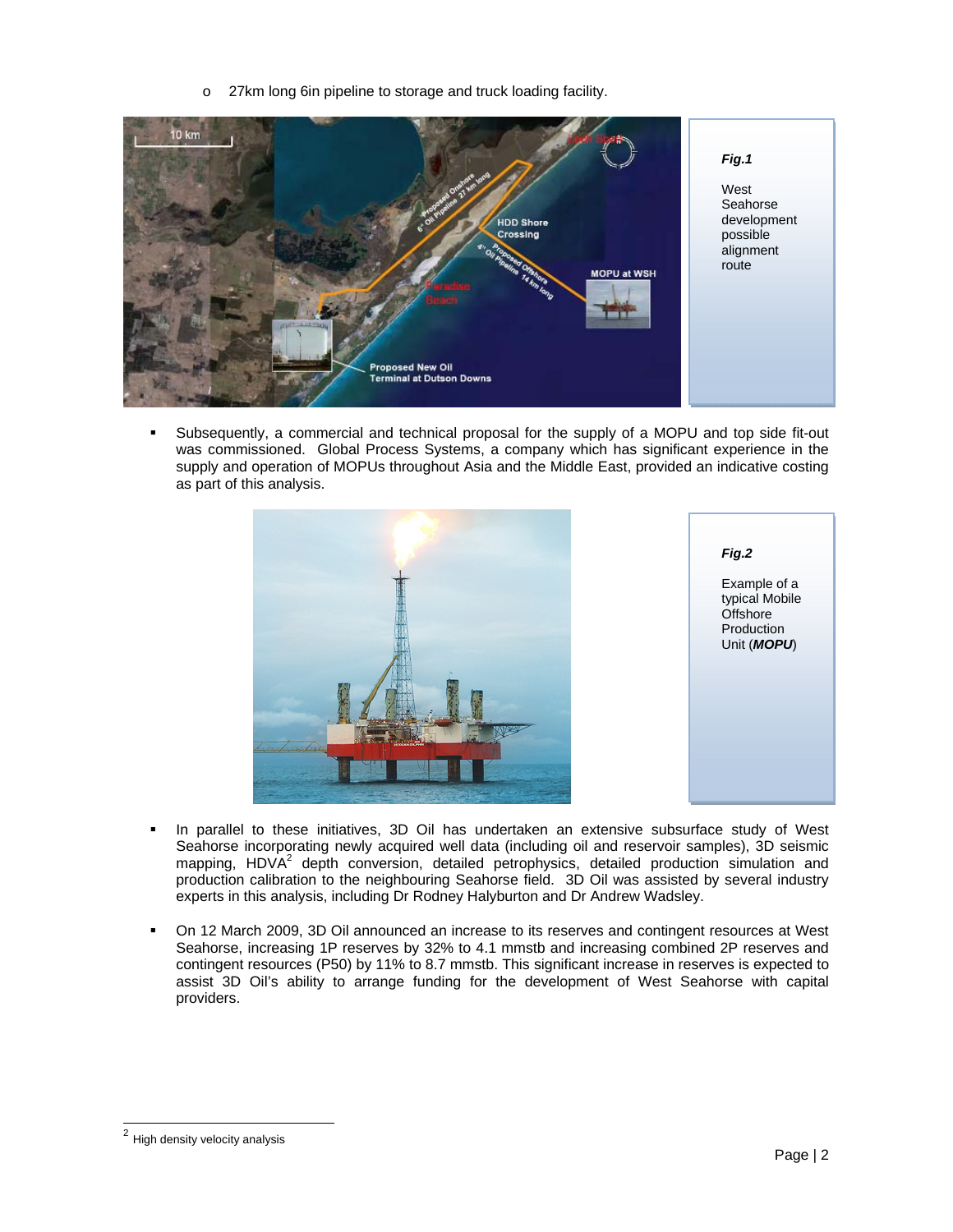o 27km long 6in pipeline to storage and truck loading facility.



 Subsequently, a commercial and technical proposal for the supply of a MOPU and top side fit-out was commissioned. Global Process Systems, a company which has significant experience in the supply and operation of MOPUs throughout Asia and the Middle East, provided an indicative costing as part of this analysis.



- In parallel to these initiatives, 3D Oil has undertaken an extensive subsurface study of West Seahorse incorporating newly acquired well data (including oil and reservoir samples), 3D seismic mapping, HDVA<sup>2</sup> depth conversion, detailed petrophysics, detailed production simulation and production calibration to the neighbouring Seahorse field. 3D Oil was assisted by several industry experts in this analysis, including Dr Rodney Halyburton and Dr Andrew Wadsley.
- On 12 March 2009, 3D Oil announced an increase to its reserves and contingent resources at West Seahorse, increasing 1P reserves by 32% to 4.1 mmstb and increasing combined 2P reserves and contingent resources (P50) by 11% to 8.7 mmstb. This significant increase in reserves is expected to assist 3D Oil's ability to arrange funding for the development of West Seahorse with capital providers.

 $\overline{a}$ 

 $^2$  High density velocity analysis